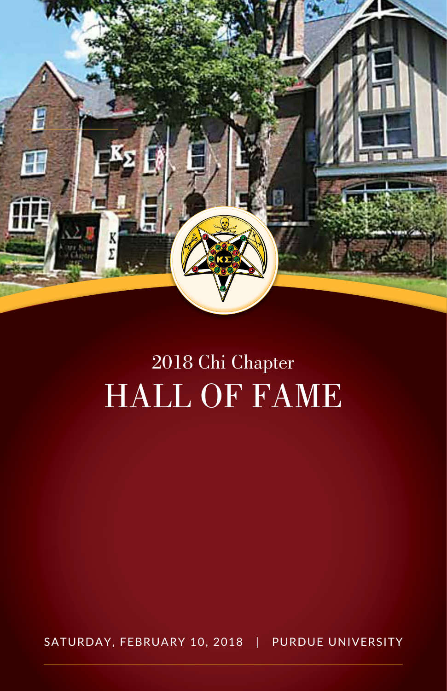

# 2018 Chi Chapter HALL OF FAME

SATURDAY, FEBRUARY 10, 2018 | PURDUE UNIVERSITY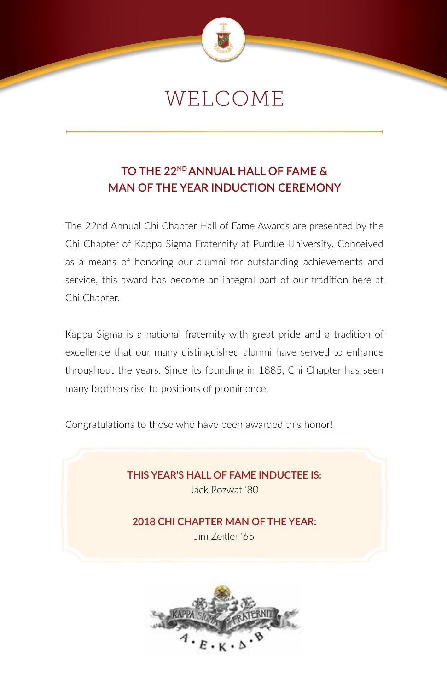

## WELCOME

### **TO THE 22ND ANNUAL HALL OF FAME & MAN OF THE YEAR INDUCTION CEREMONY**

The 22nd Annual Chi Chapter Hall of Fame Awards are presented by the Chi Chapter of Kappa Sigma Fraternity at Purdue University. Conceived as a means of honoring our alumni for outstanding achievements and service, this award has become an integral part of our tradition here at Chi Chapter.

Kappa Sigma is a national fraternity with great pride and a tradition of excellence that our many distinguished alumni have served to enhance throughout the years. Since its founding in 1885, Chi Chapter has seen many brothers rise to positions of prominence.

Congratulations to those who have been awarded this honor!

**THIS YEAR'S HALL OF FAME INDUCTEE IS:** Jack Rozwat '80

**2018 CHI CHAPTER MAN OF THE YEAR:** Jim Zeitler '65

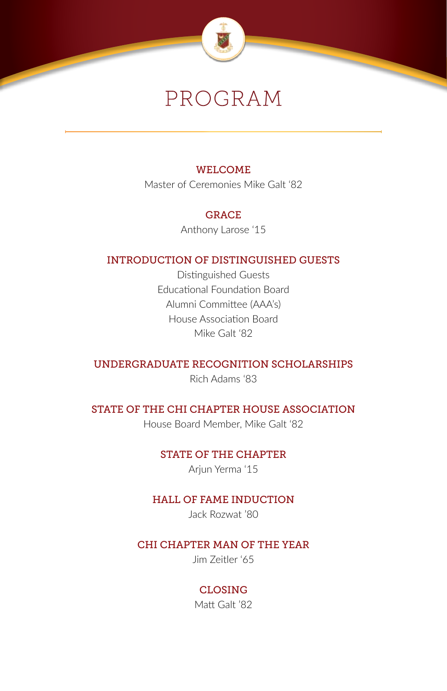

## PROGRAM

### WELCOME

Master of Ceremonies Mike Galt '82

### GRACE

Anthony Larose '15

### INTRODUCTION OF DISTINGUISHED GUESTS

Distinguished Guests Educational Foundation Board Alumni Committee (AAA's) House Association Board Mike Galt '82

### UNDERGRADUATE RECOGNITION SCHOLARSHIPS

Rich Adams '83

### STATE OF THE CHI CHAPTER HOUSE ASSOCIATION

House Board Member, Mike Galt '82

### STATE OF THE CHAPTER

Ariun Yerma '15

### HALL OF FAME INDUCTION

Jack Rozwat '80

### CHI CHAPTER MAN OF THE YEAR

Jim Zeitler '65

### CLOSING

Matt Galt '82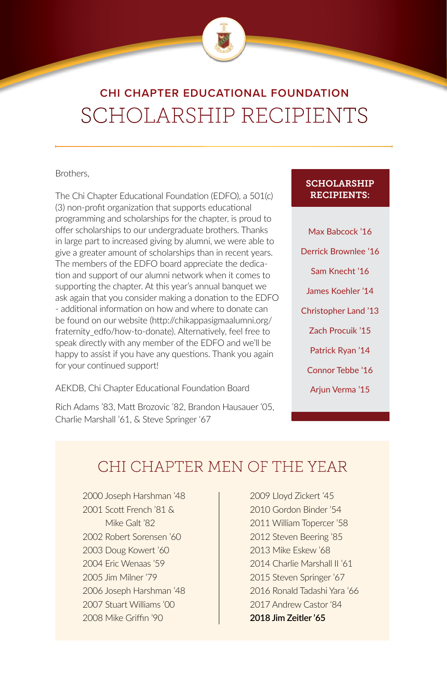

### **CHI CHAPTER EDUCATIONAL FOUNDATION** SCHOLARSHIP RECIPIENTS

#### Brothers,

The Chi Chapter Educational Foundation (EDFO), a 501(c) (3) non-profit organization that supports educational programming and scholarships for the chapter, is proud to offer scholarships to our undergraduate brothers. Thanks in large part to increased giving by alumni, we were able to give a greater amount of scholarships than in recent years. The members of the EDFO board appreciate the dedication and support of our alumni network when it comes to supporting the chapter. At this year's annual banquet we ask again that you consider making a donation to the EDFO - additional information on how and where to donate can be found on our website (http://chikappasigmaalumni.org/ fraternity\_edfo/how-to-donate). Alternatively, feel free to speak directly with any member of the EDFO and we'll be happy to assist if you have any questions. Thank you again for your continued support!

AEKDB, Chi Chapter Educational Foundation Board

Rich Adams '83, Matt Brozovic '82, Brandon Hausauer '05, Charlie Marshall '61, & Steve Springer '67

### SCHOLARSHIP RECIPIENTS:

Max Babcock '16 Derrick Brownlee '16 Sam Knecht '16 James Koehler '14 Christopher Land '13 Zach Procuik '15 Patrick Ryan '14 Connor Tebbe '16 Arjun Verma '15

### CHI CHAPTER MEN OF THE YEAR

2000 Joseph Harshman '48 2001 Scott French '81 & Mike Galt '82 2002 Robert Sorensen '60 2003 Doug Kowert '60 2004 Eric Wenaas '59 2005 Jim Milner '79 2006 Joseph Harshman '48 2007 Stuart Williams '00 2008 Mike Griffin '90

2009 Lloyd Zickert '45 2010 Gordon Binder '54 2011 William Topercer '58 2012 Steven Beering '85 2013 Mike Eskew '68 2014 Charlie Marshall II '61 2015 Steven Springer '67 2016 Ronald Tadashi Yara '66 2017 Andrew Castor '84 **2018 Jim Zeitler '65**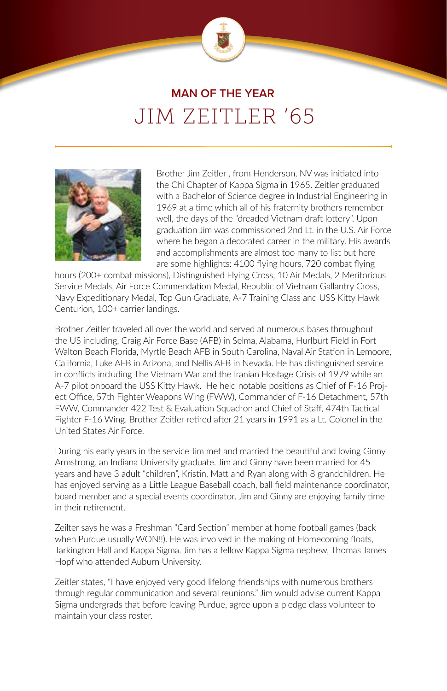

### **MAN OF THE YEAR** JIM ZEITLER '65



Brother Jim Zeitler , from Henderson, NV was initiated into the Chi Chapter of Kappa Sigma in 1965. Zeitler graduated with a Bachelor of Science degree in Industrial Engineering in 1969 at a time which all of his fraternity brothers remember well, the days of the "dreaded Vietnam draft lottery". Upon graduation Jim was commissioned 2nd Lt. in the U.S. Air Force where he began a decorated career in the military. His awards and accomplishments are almost too many to list but here are some highlights: 4100 flying hours, 720 combat flying

hours (200+ combat missions), Distinguished Flying Cross, 10 Air Medals, 2 Meritorious Service Medals, Air Force Commendation Medal, Republic of Vietnam Gallantry Cross, Navy Expeditionary Medal, Top Gun Graduate, A-7 Training Class and USS Kitty Hawk Centurion, 100+ carrier landings.

Brother Zeitler traveled all over the world and served at numerous bases throughout the US including, Craig Air Force Base (AFB) in Selma, Alabama, Hurlburt Field in Fort Walton Beach Florida, Myrtle Beach AFB in South Carolina, Naval Air Station in Lemoore, California, Luke AFB in Arizona, and Nellis AFB in Nevada. He has distinguished service in conflicts including The Vietnam War and the Iranian Hostage Crisis of 1979 while an A-7 pilot onboard the USS Kitty Hawk. He held notable positions as Chief of F-16 Project Office, 57th Fighter Weapons Wing (FWW), Commander of F-16 Detachment, 57th FWW, Commander 422 Test & Evaluation Squadron and Chief of Staff, 474th Tactical Fighter F-16 Wing. Brother Zeitler retired after 21 years in 1991 as a Lt. Colonel in the United States Air Force.

During his early years in the service Jim met and married the beautiful and loving Ginny Armstrong, an Indiana University graduate. Jim and Ginny have been married for 45 years and have 3 adult "children", Kristin, Matt and Ryan along with 8 grandchildren. He has enjoyed serving as a Little League Baseball coach, ball field maintenance coordinator, board member and a special events coordinator. Jim and Ginny are enjoying family time in their retirement.

Zeilter says he was a Freshman "Card Section" member at home football games (back when Purdue usually WON!!). He was involved in the making of Homecoming floats, Tarkington Hall and Kappa Sigma. Jim has a fellow Kappa Sigma nephew, Thomas James Hopf who attended Auburn University.

Zeitler states, "I have enjoyed very good lifelong friendships with numerous brothers through regular communication and several reunions." Jim would advise current Kappa Sigma undergrads that before leaving Purdue, agree upon a pledge class volunteer to maintain your class roster.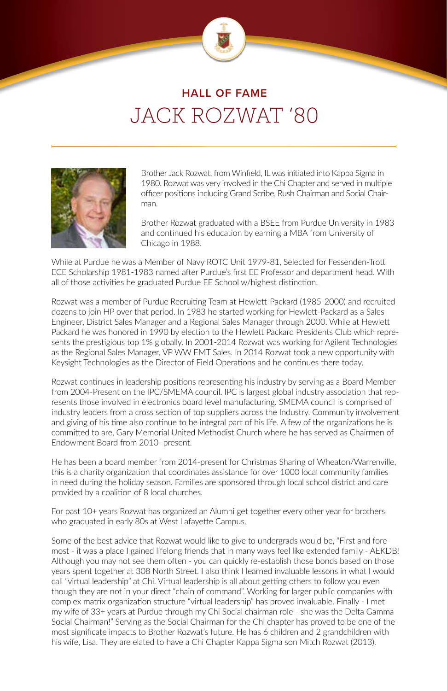

### **HALL OF FAME** JACK ROZWAT '80



Brother Jack Rozwat, from Winfield, IL was initiated into Kappa Sigma in 1980. Rozwat was very involved in the Chi Chapter and served in multiple officer positions including Grand Scribe, Rush Chairman and Social Chairman.

Brother Rozwat graduated with a BSEE from Purdue University in 1983 and continued his education by earning a MBA from University of Chicago in 1988.

While at Purdue he was a Member of Navy ROTC Unit 1979-81, Selected for Fessenden-Trott ECE Scholarship 1981-1983 named after Purdue's first EE Professor and department head. With all of those activities he graduated Purdue EE School w/highest distinction.

Rozwat was a member of Purdue Recruiting Team at Hewlett-Packard (1985-2000) and recruited dozens to join HP over that period. In 1983 he started working for Hewlett-Packard as a Sales Engineer, District Sales Manager and a Regional Sales Manager through 2000. While at Hewlett Packard he was honored in 1990 by election to the Hewlett Packard Presidents Club which represents the prestigious top 1% globally. In 2001-2014 Rozwat was working for Agilent Technologies as the Regional Sales Manager, VP WW EMT Sales. In 2014 Rozwat took a new opportunity with Keysight Technologies as the Director of Field Operations and he continues there today.

Rozwat continues in leadership positions representing his industry by serving as a Board Member from 2004-Present on the IPC/SMEMA council. IPC is largest global industry association that represents those involved in electronics board level manufacturing. SMEMA council is comprised of industry leaders from a cross section of top suppliers across the Industry. Community involvement and giving of his time also continue to be integral part of his life. A few of the organizations he is committed to are, Gary Memorial United Methodist Church where he has served as Chairmen of Endowment Board from 2010–present.

He has been a board member from 2014-present for Christmas Sharing of Wheaton/Warrenville, this is a charity organization that coordinates assistance for over 1000 local community families in need during the holiday season. Families are sponsored through local school district and care provided by a coalition of 8 local churches.

For past 10+ years Rozwat has organized an Alumni get together every other year for brothers who graduated in early 80s at West Lafayette Campus.

Some of the best advice that Rozwat would like to give to undergrads would be, "First and foremost - it was a place I gained lifelong friends that in many ways feel like extended family - AEKDB! Although you may not see them often - you can quickly re-establish those bonds based on those years spent together at 308 North Street. I also think I learned invaluable lessons in what I would call "virtual leadership" at Chi. Virtual leadership is all about getting others to follow you even though they are not in your direct "chain of command". Working for larger public companies with complex matrix organization structure "virtual leadership" has proved invaluable. Finally - I met my wife of 33+ years at Purdue through my Chi Social chairman role - she was the Delta Gamma Social Chairman!" Serving as the Social Chairman for the Chi chapter has proved to be one of the most significate impacts to Brother Rozwat's future. He has 6 children and 2 grandchildren with his wife, Lisa. They are elated to have a Chi Chapter Kappa Sigma son Mitch Rozwat (2013).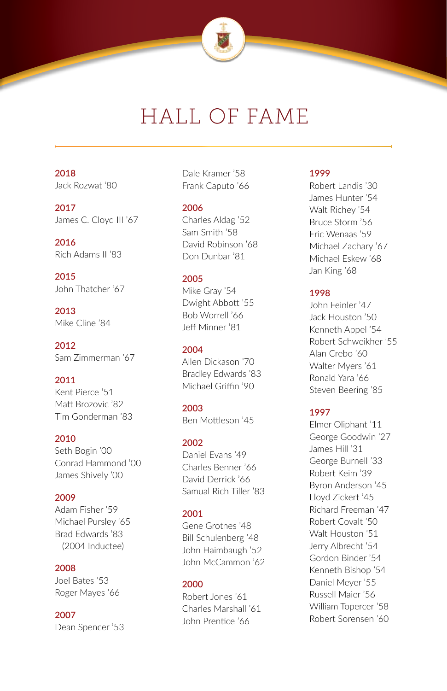

## HALL OF FAME

### **2018** Jack Rozwat '80

**2017** James C. Cloyd III '67

**2016** Rich Adams II '83

**2015** John Thatcher '67

**2013** Mike Cline '84

**2012** Sam Zimmerman '67

### **2011**

Kent Pierce '51 Matt Brozovic '82 Tim Gonderman '83

### **2010**

Seth Bogin '00 Conrad Hammond '00 James Shively '00

#### **2009**

Adam Fisher '59 Michael Pursley '65 Brad Edwards '83 (2004 Inductee)

#### **2008**

Joel Bates '53 Roger Mayes '66

### **2007**

Dean Spencer '53

Dale Kramer '58 Frank Caputo '66

#### **2006**

Charles Aldag '52 Sam Smith '58 David Robinson '68 Don Dunbar '81

### **2005**

Mike Gray '54 Dwight Abbott '55 Bob Worrell '66 Jeff Minner '81

### **2004**

Allen Dickason '70 Bradley Edwards '83 Michael Griffin '90

**2003** Ben Mottleson '45

### **2002**

Daniel Evans '49 Charles Benner '66 David Derrick '66 Samual Rich Tiller '83

#### **2001**

Gene Grotnes '48 Bill Schulenberg '48 John Haimbaugh '52 John McCammon '62

### **2000**

Robert Jones '61 Charles Marshall '61 John Prentice '66

### **1999**

Robert Landis '30 James Hunter '54 Walt Richey '54 Bruce Storm '56 Eric Wenaas '59 Michael Zachary '67 Michael Eskew '68 Jan King '68

### **1998**

John Feinler '47 Jack Houston '50 Kenneth Appel '54 Robert Schweikher '55 Alan Crebo '60 Walter Myers '61 Ronald Yara '66 Steven Beering '85

### **1997**

Elmer Oliphant '11 George Goodwin '27 James Hill '31 George Burnell '33 Robert Keim '39 Byron Anderson '45 Lloyd Zickert '45 Richard Freeman '47 Robert Covalt '50 Walt Houston '51 Jerry Albrecht '54 Gordon Binder '54 Kenneth Bishop '54 Daniel Meyer '55 Russell Maier '56 William Topercer '58 Robert Sorensen '60